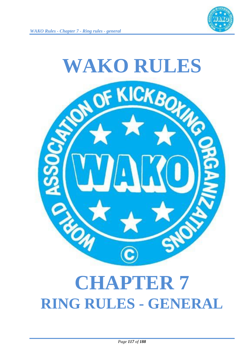



# **CHAPTER 7 RING RULES - GENERAL**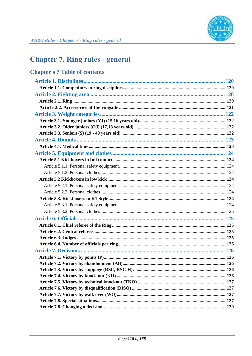

# **Chapter 7. Ring rules - general**

| <b>Chapter's 7 Table of contents</b> |  |
|--------------------------------------|--|
|                                      |  |
|                                      |  |
|                                      |  |
|                                      |  |
|                                      |  |
|                                      |  |
|                                      |  |
|                                      |  |
|                                      |  |
|                                      |  |
|                                      |  |
|                                      |  |
|                                      |  |
|                                      |  |
|                                      |  |
|                                      |  |
|                                      |  |
|                                      |  |
|                                      |  |
|                                      |  |
|                                      |  |
|                                      |  |
|                                      |  |
|                                      |  |
|                                      |  |
|                                      |  |
|                                      |  |
|                                      |  |
|                                      |  |
|                                      |  |
|                                      |  |
|                                      |  |
|                                      |  |
|                                      |  |
|                                      |  |
|                                      |  |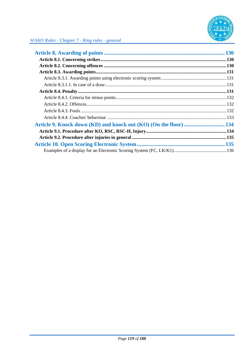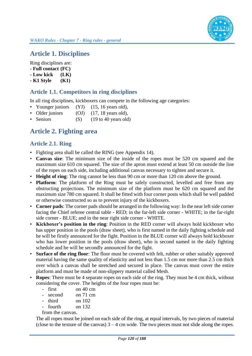# **Article 1. Disciplines**

Ring disciplines are:

- **- Full contact (FC)**
- **- Low kick (LK)**
- **- K1 Style (K1)**

## **Article 1.1. Competitors in ring disciplines**

In all ring disciplines, kickboxers can compete in the following age categories:

- Younger juniors (YJ) (15, 16 years old),
- Older juniors (OJ) (17, 18 years old),
- Seniors (S) (19 to 40 years old)

# **Article 2. Fighting area**

### **Article 2.1. Ring**

- Fighting area shall be called the RING (see Appendix 14).
- **Canvas size**: The minimum size of the inside of the ropes must be 520 cm squared and the maximum size 610 cm squared. The size of the apron must extend at least 50 cm outside the line of the ropes on each side, including additional canvas necessary to tighten and secure it.
- **Height of ring**: The ring cannot be less than 90 cm or more than 120 cm above the ground.
- **Platform**: The platform of the Ring must be safely constructed, levelled and free from any obstructing projections. The minimum size of the platform must be 620 cm squared and the maximum size 780 cm squared. It shall be fitted with four corner posts which shall be well padded or otherwise constructed so as to prevent injury of the kickboxers.
- **Corner pads**: The corner pads should be arranged in the following way: In the near left side corner facing the Chief referee central table - RED; in the far-left side corner - WHITE; in the far-right side corner - BLUE; and in the near right side corner - WHITE.
- **Kickboxer's position in the ring**: Position in the RED corner will always hold kickboxer who has upper position in the pools (draw sheet), who is first named in the daily fighting schedule and he will be firstly announced for the fight. Position in the BLUE corner will always hold kickboxer who has lower position in the pools (draw sheet), who is second named in the daily fighting schedule and he will be secondly announced for the fight.
- **Surface of the ring floor**: The floor must be covered with felt, rubber or other suitably approved material having the same quality of elasticity and not less than 1.5 cm nor more than 2.5 cm thick over which a canvas shall be stretched and secured in place. The canvas must cover the entire platform and must be made of non-slippery material called Mesh.
- **Ropes**: There must be 4 separate ropes on each side of the ring. They must be 4 cm thick, without considering the cover. The heights of the four ropes must be:
	- first on 40 cm
	- second on 71 cm
	- third on 102
	- fourth on 132
	- from the canvas.

The all ropes must be joined on each side of the ring, at equal intervals, by two pieces of material (close to the texture of the canvas)  $3 - 4$  cm wide. The two pieces must not slide along the ropes.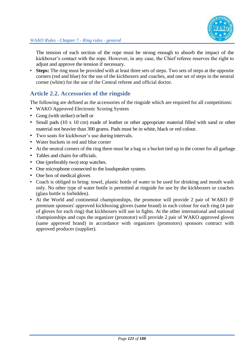

The tension of each section of the rope must be strong enough to absorb the impact of the kickboxer's contact with the rope. However, in any case, the Chief referee reserves the right to adjust and approve the tension if necessary.

• **Steps:** The ring must be provided with at least three sets of steps. Two sets of steps at the opposite corners (red and blue) for the use of the kickboxers and coaches, and one set of steps in the neutral corner (white) for the use of the Central referee and official doctor.

## **Article 2.2. Accessories of the ringside**

The following are defined as the accessories of the ringside which are required for all competitions:

- WAKO Approved Electronic Scoring System
- Gong (with striker) or bell or
- Small pads (10 x 10 cm) made of leather or other appropriate material filled with sand or other material not heavier than 300 grams. Pads must be in white, black or red colour.
- Two seats for kickboxer's use duringintervals.
- Water buckets in red and blue corner
- At the neutral corners of the ring there must be a bag or a bucket tied up in the corner for all garbage
- Tables and chairs for officials.
- One (preferably two) stop watches.
- One microphone connected to the loudspeaker system.
- One box of medical gloves
- Coach is obliged to bring: towel, plastic bottle of water to be used for drinking and mouth wash only. No other type of water bottle is permitted at ringside for use by the kickboxers or coaches (glass bottle is forbidden).
- At the World and continental championships, the promotor will provide 2 pair of WAKO IF premium sponsors' approved kickboxing gloves (same brand) in each colour for each ring (4 pair of gloves for each ring) that kickboxers will use in fights. At the other international and national championships and cups the organizer (promotor) will provide 2 pair of WAKO approved gloves (same approved brand) in accordance with organizers (promotors) sponsors contract with approved producer (supplier).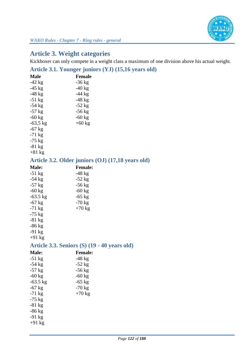

# **Article 3. Weight categories**

Kickboxer can only compete in a weight class a maximum of one division above his actual weight.

# **Article 3.1. Younger juniors (YJ) (15,16 years old)**

| <b>Male</b>                                       | <b>Female</b>  |  |
|---------------------------------------------------|----------------|--|
| $-42$ kg                                          | $-36$ kg       |  |
| $-45$ kg                                          | $-40$ kg       |  |
| $-48$ kg                                          | $-44$ kg       |  |
| $-51$ kg                                          | $-48$ kg       |  |
| $-54$ kg                                          | $-52$ kg       |  |
| $-57$ kg                                          | $-56$ kg       |  |
| $-60$ kg                                          | $-60$ kg       |  |
| $-63,5$ kg                                        | $+60$ kg       |  |
| $-67$ kg                                          |                |  |
| $-71$ kg                                          |                |  |
| $-75$ kg                                          |                |  |
| $-81$ kg                                          |                |  |
| $+81$ kg                                          |                |  |
| Article 3.2. Older juniors (OJ) (17,18 years old) |                |  |
| <b>Male:</b>                                      | <b>Female:</b> |  |
| $-51$ kg                                          | $-48$ kg       |  |
| $-54$ kg                                          | $-52$ kg       |  |
| $-57$ kg                                          | $-56$ kg       |  |
| $-60$ kg                                          | $-60$ kg       |  |
| $-63.5$ kg                                        | $-65$ kg       |  |
| $-67$ kg                                          | $-70$ kg       |  |
| $-71$ kg                                          | $+70$ kg       |  |
| $-75$ kg                                          |                |  |
| $-81$ kg                                          |                |  |
| $-86$ kg                                          |                |  |
| $-91$ kg                                          |                |  |
| $+91$ kg                                          |                |  |
| Article 3.3. Seniors (S) (19 - 40 years old)      |                |  |
| <b>Male:</b>                                      | <b>Female:</b> |  |
| $-51$ kg                                          | -48 kg         |  |
| $-54$ kg                                          | $-52$ kg       |  |
| $-57$ kg                                          | $-56$ kg       |  |
| $-60$ kg                                          | $-60$ kg       |  |
| $-63.5$ kg                                        | $-65$ kg       |  |
| $-67$ kg                                          | $-70$ kg       |  |
| $-71$ kg                                          | $+70$ kg       |  |
| $-75$ kg                                          |                |  |
| $-81$ kg                                          |                |  |
| $-86$ kg                                          |                |  |
| $-91$ kg                                          |                |  |
| $+91$ kg                                          |                |  |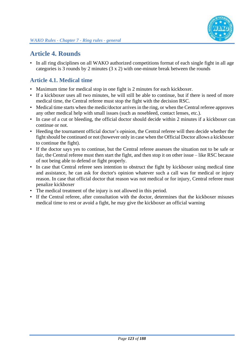

# **Article 4. Rounds**

• In all ring disciplines on all WAKO authorized competitions format of each single fight in all age categories is 3 rounds by 2 minutes (3 x 2) with one-minute break between the rounds

## **Article 4.1. Medical time**

- Maximum time for medical stop in one fight is 2 minutes for each kickboxer.
- If a kickboxer uses all two minutes, he will still be able to continue, but if there is need of more medical time, the Central referee must stop the fight with the decision RSC.
- Medical time starts when the medic/doctor arrives in the ring, or when the Central referee approves any other medical help with small issues (such as nosebleed, contact lenses, etc.).
- In case of a cut or bleeding, the official doctor should decide within 2 minutes if a kickboxer can continue or not.
- Heeding the tournament official doctor's opinion, the Central referee will then decide whether the fight should be continued or not (however only in case when the Official Doctor allows a kickboxer to continue the fight).
- If the doctor says yes to continue, but the Central referee assesses the situation not to be safe or fair, the Central referee must then start the fight, and then stop it on other issue – like RSC because of not being able to defend or fight properly.
- In case that Central referee sees intention to obstruct the fight by kickboxer using medical time and assistance, he can ask for doctor's opinion whatever such a call was for medical or injury reason. In case that official doctor that reason was not medical or for injury, Central referee must penalize kickboxer
- The medical treatment of the injury is not allowed in this period.
- If the Central referee, after consultation with the doctor, determines that the kickboxer misuses medical time to rest or avoid a fight, he may give the kickboxer an official warning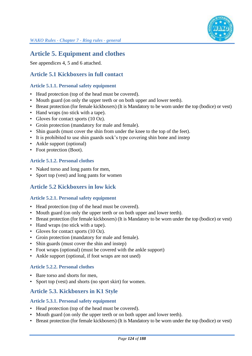

# **Article 5. Equipment and clothes**

See appendices 4, 5 and 6 attached.

### **Article 5.1 Kickboxers in full contact**

#### **Article 5.1.1. Personal safety equipment**

- Head protection (top of the head must be covered).
- Mouth guard (on only the upper teeth or on both upper and lower teeth).
- Breast protection (for female kickboxers) (It is Mandatory to be worn under the top (bodice) or vest)
- Hand wraps (no stick with a tape).
- Gloves for contact sports (10 Oz).
- Groin protection (mandatory for male and female).
- Shin guards (must cover the shin from under the knee to the top of the feet).
- It is prohibited to use shin guards sock's type covering shin bone and instep
- Ankle support (optional)
- Foot protection (Boot).

#### **Article 5.1.2. Personal clothes**

- Naked torso and long pants for men,
- Sport top (vest) and long pants for women

#### **Article 5.2 Kickboxers in low kick**

#### **Article 5.2.1. Personal safety equipment**

- Head protection (top of the head must be covered).
- Mouth guard (on only the upper teeth or on both upper and lower teeth).
- Breast protection (for female kickboxers) (It is Mandatory to be worn under the top (bodice) or vest)
- Hand wraps (no stick with a tape).
- Gloves for contact sports (10 Oz).
- Groin protection (mandatory for male and female).
- Shin guards (must cover the shin and instep)
- Foot wraps (optional) (must be covered with the ankle support)
- Ankle support (optional, if foot wraps are not used)

#### **Article 5.2.2. Personal clothes**

- Bare torso and shorts for men,
- Sport top (vest) and shorts (no sport skirt) for women.

#### **Article 5.3. Kickboxers in K1 Style**

#### **Article 5.3.1. Personal safety equipment**

- Head protection (top of the head must be covered).
- Mouth guard (on only the upper teeth or on both upper and lower teeth).
- Breast protection (for female kickboxers) (It is Mandatory to be worn under the top (bodice) or vest)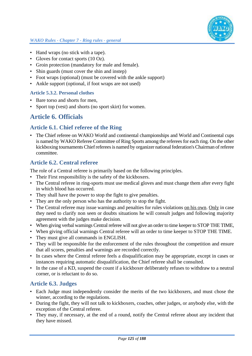

- Hand wraps (no stick with a tape).
- Gloves for contact sports (10 Oz).
- Groin protection (mandatory for male and female).
- Shin guards (must cover the shin and instep)
- Foot wraps (optional) (must be covered with the ankle support)
- Ankle support (optional, if foot wraps are not used)

#### **Article 5.3.2. Personal clothes**

- Bare torso and shorts for men,
- Sport top (vest) and shorts (no sport skirt) for women.

# **Article 6. Officials**

#### **Article 6.1. Chief referee of the Ring**

• The Chief referee on WAKO World and continental championships and World and Continental cups is named by WAKO Referee Committee of Ring Sports among the referees for each ring. On the other kickboxing tournaments Chief referees is named by organizer national federation's Chairman of referee committee.

## **Article 6.2. Central referee**

The role of a Central referee is primarily based on the following principles.

- Their First responsibility is the safety of the kickboxers.
- The Central referee in ring-sports must use medical gloves and must change them after every fight in which blood has occurred.
- They shall have the power to stop the fight to give penalties.
- They are the only person who has the authority to stop the fight.
- The Central referee may issue warnings and penalties for rules violations on his own. Only in case they need to clarify non seen or doubts situations he will consult judges and following majority agreement with the judges make decision.
- When giving verbal warnings Central referee will not give an order to time keeper to STOP THE TIME,
- When giving official warnings Central referee will an order to time keeper to STOP THE TIME.
- They must give all commands in ENGLISH.
- They will be responsible for the enforcement of the rules throughout the competition and ensure that all scores, penalties and warnings are recorded correctly.
- In cases where the Central referee feels a disqualification may be appropriate, except in cases or instances requiring automatic disqualification, the Chief referee shall be consulted.
- In the case of a KD, suspend the count if a kickboxer deliberately refuses to withdraw to a neutral corner, or is reluctant to do so.

#### **Article 6.3. Judges**

- Each Judge must independently consider the merits of the two kickboxers, and must chose the winner, according to the regulations.
- During the fight, they will not talk to kickboxers, coaches, other judges, or anybody else, with the exception of the Central referee.
- They may, if necessary, at the end of a round, notify the Central referee about any incident that they have missed.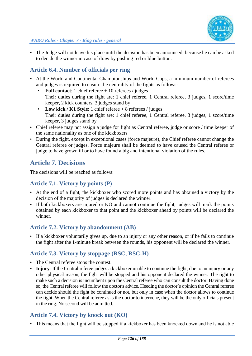

• The Judge will not leave his place until the decision has been announced, because he can be asked to decide the winner in case of draw by pushing red or blue button.

## **Article 6.4. Number of officials per ring**

- At the World and Continental Championships and World Cups, a minimum number of referees and judges is required to ensure the neutrality of the fights as follows:
	- **Full contact**: 1 chief referee + 10 referees / judges Their duties during the fight are: 1 chief referee, 1 Central referee, 3 judges, 1 score/time keeper, 2 kick counters, 3 judges stand by
	- Low kick / K1 Style: 1 chief referee + 8 referees / judges Their duties during the fight are: 1 chief referee, 1 Central referee, 3 judges, 1 score/time keeper, 3 judges stand by
- Chief referee may not assign a judge for fight as Central referee, judge or score / time keeper of the same nationality as one of the kickboxers
- During the fight, except in exceptional cases (force majeure), the Chief referee cannot change the Central referee or judges. Force majeure shall be deemed to have caused the Central referee or judge to have grown ill or to have found a big and intentional violation of the rules.

# **Article 7. Decisions**

The decisions will be reached as follows:

#### **Article 7.1. Victory by points (P)**

- At the end of a fight, the kickboxer who scored more points and has obtained a victory by the decision of the majority of judges is declared the winner.
- If both kickboxers are injured or KO and cannot continue the fight, judges will mark the points obtained by each kickboxer to that point and the kickboxer ahead by points will be declared the winner.

#### **Article 7.2. Victory by abandonment (AB)**

If a kickboxer voluntarily gives up, due to an injury or any other reason, or if he fails to continue the fight after the 1-minute break between the rounds, his opponent will be declared the winner.

#### **Article 7.3. Victory by stoppage (RSC, RSC-H)**

- The Central referee stops the contest.
- **Injury**: If the Central referee judges a kickboxer unable to continue the fight, due to an injury or any other physical reason, the fight will be stopped and his opponent declared the winner. The right to make such a decision is incumbent upon the Central referee who can consult the doctor. Having done so, the Central referee will follow the doctor's advice. Heeding the doctor´s opinion the Central referee can decide should the fight be continued or not, but only in case when the doctor allows to continue the fight. When the Central referee asks the doctor to intervene, they will be the only officials present in the ring. No second will be admitted.

## **Article 7.4. Victory by knock out (KO)**

• This means that the fight will be stopped if a kickboxer has been knocked down and he is not able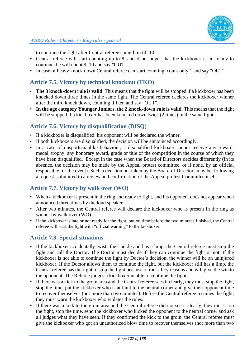

to continue the fight after Central referee count him till 10

- Central referee will start counting up to 8, and if he judges that the kickboxer is not ready to continue, he will count 9, 10 and say "OUT".
- In case of heavy knock down Central referee can start counting, count only 1 and say "OUT".

### **Article 7.5. Victory by technical knockout (TKO)**

- **The 3 knock-down rule is valid**. This means that the fight will be stopped if a kickboxer has been knocked down three times in the same fight. The Central referee declares the kickboxer winner after the third knock down, counting till ten and say "OUT".
- **In the age category Younger Juniors, the 2 knock-down rule is valid**. This means that the fight will be stopped if a kickboxer has been knocked down twice  $(2 \text{ times})$  in the same fight.

### **Article 7.6. Victory by disqualification (DISQ)**

- If a kickboxer is disqualified, his opponent will be declared the winner.
- If both kickboxers are disqualified, the decision will be announced accordingly.
- In a case of unsportsmanlike behaviour, a disqualified kickboxer cannot receive any reward, medal, trophy, any honorary award, grade or title of the competition in the course of which they have been disqualified. Except in the case when the Board of Directors decides differently (in its absence, the decision may be made by the Appeal protest committee, or if none, by an official responsible for the event). Such a decision not taken by the Board of Directors may be, following a request, submitted to a review and confirmation of the Appeal protest Committee itself.

## **Article 7.7. Victory by walk over (WO)**

- When a kickboxer is present in the ring and ready to fight, and his opponent does not appear when announced three times by the loud speaker.
- After two minutes, the Central referee will declare the kickboxer who is present in the ring as winner by walk over (WO).
- If the kickboxer is late or not ready for the fight, but on time before the two minutes finished, the Central referee will start the fight with "official warning" to the kickboxer.

#### **Article 7.8. Special situations**

- If the kickboxer accidentally twists their ankle and has a limp, the Central referee must stop the fight and call the Doctor. The Doctor must decide if they can continue the fight or not. If the kickboxer is not able to continue the fight by Doctor's decision, the winner will be an uninjured kickboxer. If the Doctor allows them to continue the fight, but the kickboxer still has a limp, the Central referee has the right to stop the fight because of the safety reasons and will give the win to the opponent. The Referee judges a kickboxer unable to continue the fight.
- If there was a kick to the groin area and the Central referee sees it clearly, they must stop the fight, stop the time, put the kickboxer who is at fault to the neutral corner and give their opponent time to recover themselves (not more than two minutes). Before the Central referee resumes the fight, they must warn the kickboxer who violates the rules.
- If there was a kick to the groin area and the Central referee did not see it clearly, they must stop the fight, stop the time, send the kickboxer who kicked the opponent to the neutral corner and ask all judges what they have seen. If they confirmed the kick to the groin, the Central referee must give the kickboxer who got an unauthorized blow time to recover themselves (not more than two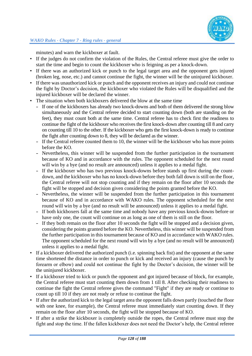minutes) and warn the kickboxer at fault.

- If the judges do not confirm the violation of the Rules, the Central referee must give the order to start the time and begin to count the kickboxer who is feigning as per a knock-down.
- If there was an authorized kick or punch to the legal target area and the opponent gets injured (broken leg, nose, etc.) and cannot continue the fight, the winner will be the uninjured kickboxer.
- If there was unauthorized kick or punch and the opponent receives an injury and could not continue the fight by Doctor's decision, the kickboxer who violated the Rules will be disqualified and the injured kickboxer will be declared the winner.
- The situation when both kickboxers delivered the blow at the same time
	- If one of the kickboxers has already two knock-downs and both of them delivered the strong blow simultaneously and the Central referee decided to start counting down (both are standing on the feet), they must count both at the same time. Central referee has to check first the readiness to continue the fight of the kickboxer who receives the first knock-down after counting till 8 and carry on counting till 10 to the other. If the kickboxer who gets the first knock-down is ready to continue the fight after counting down to 8, they will be declared as the winner.
	- If the Central referee counted them to 10, the winner will be the kickboxer who has more points before the KO.
	- Nevertheless, this winner will be suspended from the further participation in the tournament because of KO and in accordance with the rules. The opponent scheduled for the next round will win by a bye (and no result are announced) unless it applies to a medal fight.
	- If the kickboxer who has two previous knock-downs before stands up first during the countdown, and the kickboxer who has no knock-down before they both fall down is still on the floor, the Central referee will not stop counting and if they remain on the floor after 10 seconds the fight will be stopped and decision given considering the points granted before the KO.
	- Nevertheless, the winner will be suspended from the further participation in this tournament because of KO and in accordance with WAKO rules. The opponent scheduled for the next round will win by a bye (and no result will be announced) unless it applies to a medal fight.
	- If both kickboxers fall at the same time and nobody have any previous knock-downs before or have only one, the count will continue on as long as one of them is still on the floor.
	- If they both remain on the floor after 10 seconds the fight will be stopped and a decision given, considering the points granted before the KO. Nevertheless, this winner will be suspended from the further participation in this tournament because of KO and in accordance with WAKO rules. The opponent scheduled for the next round will win by a bye (and no result will be announced) unless it applies to a medal fight.
- If a kickboxer delivered the authorized punch (i.e. spinning back fist) and the opponent at the same time shortened the distance in order to punch or kick and received an injury (cause the punch by forearm or elbow) and could not continue the fight by the Doctor's decision, the winner will be the uninjured kickboxer.
- If a kickboxer tried to kick or punch the opponent and got injured because of block, for example, the Central referee must start counting them down from 1 till 8. After checking their readiness to continue the fight the Central referee gives the command "Fight" if they are ready or continue to count up till 10 if they are not ready or refuse to continue the fight.
- If after the authorized kick to the legal target area the opponent falls down partly (touched the floor with one knee, for example), the Central referee must immediately start counting down. If they remain on the floor after 10 seconds, the fight will be stopped because of KO.
- If after a strike the kickboxer is completely outside the ropes, the Central referee must stop the fight and stop the time. If the fallen kickboxer does not need the Doctor's help, the Central referee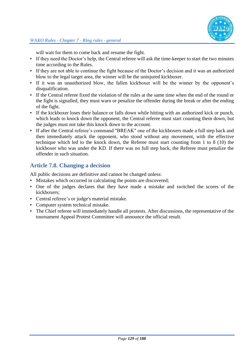

will wait for them to come back and resume the fight.

- If they need the Doctor's help, the Central referee will ask the time-keeper to start the two minutes time according to the Rules.
- If they are not able to continue the fight because of the Doctor's decision and it was an authorized blow to the legal target area, the winner will be the uninjured kickboxer.
- If it was an unauthorized blow, the fallen kickboxer will be the winner by the opponent's disqualification.
- If the Central referee fixed the violation of the rules at the same time when the end of the round or the fight is signalled, they must warn or penalize the offender during the break or after the ending of the fight.
- If the kickboxer loses their balance or falls down while hitting with an authorized kick or punch, which leads to knock down the opponent, the Central referee must start counting them down, but the judges must not take this knock down to the account.
- If after the Central referee's command "BREAK" one of the kickboxers made a full step back and then immediately attack the opponent, who stood without any movement, with the effective technique which led to the knock down, the Referee must start counting from 1 to 8 (10) the kickboxer who was under the KD. If there was no full step back, the Referee must penalize the offender in such situation.

## **Article 7.8. Changing a decision**

All public decisions are definitive and cannot be changed unless:

- Mistakes which occurred in calculating the points are discovered;
- One of the judges declares that they have made a mistake and switched the scores of the kickboxers;
- Central referee's or judge's material mistake.
- Computer system technical mistake.
- The Chief referee will immediately handle all protests. After discussions, the representative of the tournament Appeal Protest Committee will announce the official result.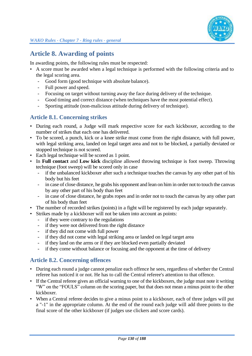# **Article 8. Awarding of points**

In awarding points, the following rules must be respected:

- A score must be awarded when a legal technique is performed with the following criteria and to the legal scoring area.
	- Good form (good technique with absolute balance).
	- Full power and speed.
	- Focusing on target without turning away the face during delivery of the technique.
	- Good timing and correct distance (when techniques have the most potential effect).
	- Sporting attitude (non-malicious attitude during delivery of technique).

## **Article 8.1. Concerning strikes**

- During each round, a Judge will mark respective score for each kickboxer, according to the number of strikes that each one has delivered.
- To be scored, a punch, kick or a knee strike must come from the right distance, with full power, with legal striking area, landed on legal target area and not to be blocked, a partially deviated or stopped technique is not scored.
- Each legal technique will be scored as 1 point.
- In **Full contact** and **Low kick** discipline allowed throwing technique is foot sweep. Throwing technique (foot sweep) will be scored only in case
	- if the unbalanced kickboxer after such a technique touches the canvas by any other part of his body but his feet
	- in case of close distance, he grabs his opponent and lean on him in order not to touch the canvas by any other part of his body than feet
	- in case of close distance, he grabs ropes and in order not to touch the canvas by any other part of his body than feet
- The number of recorded strikes (points) in a fight will be registered by each judge separately.
- Strikes made by a kickboxer will not be taken into account as points:
	- if they were contrary to the regulations
	- if they were not delivered from the right distance
	- if they did not come with full power
	- if they did not come with legal striking area or landed on legal target area
	- if they land on the arms or if they are blocked even partially deviated
	- if they come without balance or focusing and the opponent at the time of delivery

## **Article 8.2. Concerning offences**

- During each round a judge cannot penalize each offence he sees, regardless of whether the Central referee has noticed it or not. He has to call the Central referee's attention to that offence.
- If the Central referee gives an official warning to one of the kickboxers, the judge must note it writing "W" on the "FOULS" column on the scoring paper, but that does not mean a minus point to the other kickboxer.
- When a Central referee decides to give a minus point to a kickboxer, each of three judges will put a "-1" in the appropriate column. At the end of the round each judge will add three points to the final score of the other kickboxer (if judges use clickers and score cards).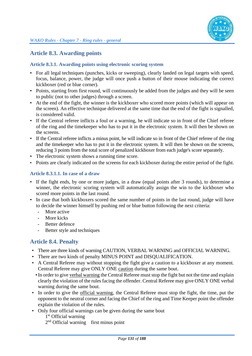## **Article 8.3. Awarding points**

#### **Article 8.3.1. Awarding points using electronic scoring system**

- For all legal techniques (punches, kicks or sweeping), clearly landed on legal targets with speed, focus, balance, power, the judge will once push a button of their mouse indicating the correct kickboxer (red or blue corner).
- Points, starting from first round, will continuously be added from the judges and they will be seen to public (not to other judges) through a screen.
- At the end of the fight, the winner is the kickboxer who scored more points (which will appear on the screen). An effective technique delivered at the same time that the end of the fight is signalled, is considered valid.
- If the Central referee inflicts a foul or a warning, he will indicate so in front of the Chief referee of the ring and the timekeeper who has to put it in the electronic system. It will then be shown on the screens.
- If the Central referee inflicts a minus point, he will indicate so in front of the Chief referee of the ring and the timekeeper who has to put it in the electronic system. It will then be shown on the screens, reducing 3 points from the total score of penalized kickboxer from each judge's score separately.
- The electronic system shows a running time score.
- Points are clearly indicated on the screens for each kickboxer during the entire period of the fight.

#### **Article 8.3.1.1. In case of a draw**

- If the fight ends, by one or more judges, in a draw (equal points after 3 rounds), to determine a winner, the electronic scoring system will automatically assign the win to the kickboxer who scored more points in the last round.
- In case that both kickboxers scored the same number of points in the last round, judge will have to decide the winner himself by pushing red or blue button following the next criteria:
	- More active
	- More kicks
	- Better defence
	- Better style and techniques

#### **Article 8.4. Penalty**

- There are three kinds of warning CAUTION, VERBAL WARNING and OFFICIAL WARNING.
- There are two kinds of penalty MINUS POINT and DISQUALIFICATION.
- A Central Referee may without stopping the fight give a caution to a kickboxer at any moment. Central Referee may give ONLY ONE caution during the same bout.
- •In order to give verbal warning the Central Referee must stop the fight but not the time and explain clearly the violation of the rules facing the offender. Central Referee may give ONLY ONE verbal warning during the same bout.
- In order to give the official warning, the Central Referee must stop the fight, the time, put the opponent to the neutral corner and facing the Chief of the ring and Time Keeper point the offender explain the violation of the rules.
- Only four official warnings can be given during the same bout 1<sup>st</sup> Official warning 2<sup>nd</sup> Official warning first minus point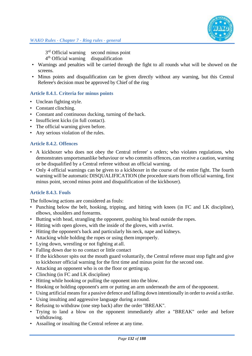3<sup>rd</sup> Official warning second minus point

4 th Official warning disqualification

- Warnings and penalties will be carried through the fight to all rounds what will be showed on the screens.
- Minus points and disqualification can be given directly without any warning, but this Central Referee's decision must be approved by Chief of the ring

#### **Article 8.4.1. Criteria for minus points**

- Unclean fighting style.
- Constant clinching.
- Constant and continuous ducking, turning of the back.
- Insufficient kicks (in full contact).
- The official warning given before.
- Any serious violation of the rules.

#### **Article 8.4.2. Offences**

- A kickboxer who does not obey the Central referee' s orders; who violates regulations, who demonstrates unsportsmanlike behaviour or who commits offences, can receive a caution, warning or be disqualified by a Central referee without an official warning.
- Only 4 official warnings can be given to a kickboxer in the course of the entire fight. The fourth warning will be automatic DISQUALIFICATION (the procedure starts from official warning, first minus point, second minus point and disqualification of the kickboxer).

#### **Article 8.4.3. Fouls**

The following actions are considered as fouls:

- Punching below the belt, hooking, tripping, and hitting with knees (in FC and LK discipline), elbows, shoulders and forearms.
- Butting with head, strangling the opponent, pushing his head outside the ropes.
- Hitting with open gloves, with the inside of the gloves, with awrist.
- Hitting the opponent's back and particularly his neck, nape and kidneys.
- Attacking while holding the ropes or using them improperly.
- Lying down, wrestling or not fighting at all.
- Falling down due to no contact or little contact
- If the kickboxer spits out the mouth guard voluntarily, the Central referee must stop fight and give to kickboxer official warning for the first time and minus point for the second one.
- Attacking an opponent who is on the floor or getting up.
- Clinching (in FC and LK discipline)
- Hitting while hooking or pulling the opponent into the blow.
- Hooking or holding opponent's arm or putting an arm underneath the arm of the opponent.
- Using artificial means for a passive defence and falling down intentionally in order to avoid a strike.
- Using insulting and aggressive language during a round.
- Refusing to withdraw (one step back) after the order "BREAK".
- Trying to land a blow on the opponent immediately after a "BREAK" order and before withdrawing.
- Assailing or insulting the Central referee at any time.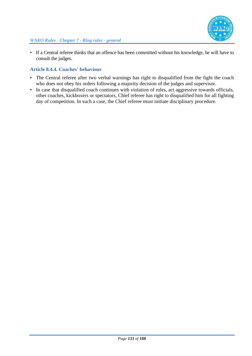

• If a Central referee thinks that an offence has been committed without his knowledge, he will have to consult the judges.

#### **Article 8.4.4. Coaches' behaviour**

- The Central referee after two verbal warnings has right to disqualified from the fight the coach who does not obey his orders following a majority decision of the judges and supervisor.
- In case that disqualified coach continues with violation of rules, act aggressive towards officials, other coaches, kickboxers or spectators, Chief referee has right to disqualified him for all fighting day of competition. In such a case, the Chief referee must initiate disciplinary procedure.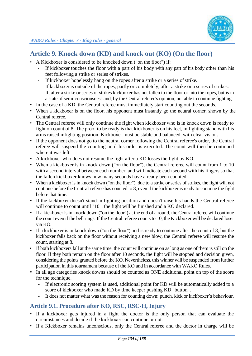

# **Article 9. Knock down (KD) and knock out (KO) (On the floor)**

- A Kickboxer is considered to be knocked down ("on the floor") if:
	- If kickboxer touches the floor with a part of his body with any part of his body other than his feet following a strike or series of strikes.
	- If kickboxer hopelessly hang on the ropes after a strike or a series of strike.
	- If kickboxer is outside of the ropes, partly or completely, after a strike or a series of strikes.
	- If, after a strike or series of strikes kickboxer has not fallen to the floor or into the ropes, but is in a state of semi-consciousness and, by the Central referee's opinion, not able to continue fighting.
- In the case of a KD, the Central referee must immediately start counting out the seconds.
- When a kickboxer is on the floor, his opponent must instantly go the neutral corner, shown by the Central referee.
- The Central referee will only continue the fight when kickboxer who is in knock down is ready to fight on count of 8. The proof to be ready is that kickboxer is on his feet, in fighting stand with his arms raised infighting position. Kickboxer must be stable and balanced, with clear vision.
- If the opponent does not go to the neutral corner following the Central referee's order, the Central referee will suspend the counting until his order is executed. The count will then be continued where it was left.
- A kickboxer who does not resume the fight after a KD losses the fight by KO.
- When a kickboxer is in knock down ("on the floor"), the Central referee will count from 1 to 10 with a second interval between each number, and will indicate each second with his fingers so that the fallen kickboxer knows how many seconds have already been counted.
- When a kickboxer is in knock down ("on the floor"), due to a strike or series of strikes, the fight will not continue before the Central referee has counted to 8, even if the kickboxer is ready to continue the fight before that time.
- If the kickboxer doesn't stand in fighting position and doesn't raise his hands the Central referee will continue to count until "10", the fight will be finished and a KO declared.
- If a kickboxer is in knock down ("on the floor") at the end of a round, the Central referee will continue the count even if the bell rings. If the Central referee counts to 10, the Kickboxer will be declared loser via KO.
- If a kickboxer is in knock down ("on the floor") and is ready to continue after the count of 8, but the kickboxer falls back on the floor without receiving a new blow, the Central referee will resume the count, starting at 8.
- If both kickboxers fall at the same time, the count will continue on as long as one of them is still on the floor. If they both remain on the floor after 10 seconds, the fight will be stopped and decision given, considering the points granted before the KO. Nevertheless, this winner will be suspended from further participation in this tournament because of the KO and in accordance with WAKO Rules.
- In all age categories knock downs should be counted as ONE additional point on top of the score for the technique.
	- If electronic scoring system is used, additional point for KD will be automatically added to a score of kickboxer who made KD by time keeper pushing KD "button".
	- It does not matter what was the reason for counting down: punch, kick or kickboxer's behaviour.

## **Article 9.1. Procedure after KO, RSC, RSC-H, Injury**

- If a kickboxer gets injured in a fight the doctor is the only person that can evaluate the circumstances and decide if the kickboxer can continue or not.
- If a Kickboxer remains unconscious, only the Central referee and the doctor in charge will be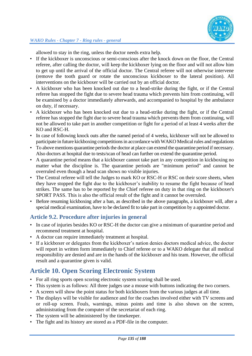allowed to stay in the ring, unless the doctor needs extra help.

- If the kickboxer is unconscious or semi-conscious after the knock down on the floor, the Central referee, after calling the doctor, will keep the kickboxer lying on the floor and will not allow him to get up until the arrival of the official doctor. The Central referee will not otherwise intervene (remove the tooth guard or rotate the unconscious kickboxer to the lateral position). All interventions on the kickboxer will be carried out by an official doctor.
- A kickboxer who has been knocked out due to a head-strike during the fight, or if the Central referee has stopped the fight due to severe head trauma which prevents him from continuing, will be examined by a doctor immediately afterwards, and accompanied to hospital by the ambulance on duty, if necessary.
- A kickboxer who has been knocked out due to a head-strike during the fight, or if the Central referee has stopped the fight due to severe head trauma which prevents them from continuing, will not be allowed to take part in another competition or fight for a period of at least 4 weeks after the KO and RSC-H.
- In case of following knock outs after the named period of 4 weeks, kickboxer will not be allowed to participate in future kickboxing competitions in accordance with WAKO Medical rules and regulations
- To above mentions quarantine periods the doctor at place can extend the quarantine period if necessary. Also doctors at hospital due to tests/scan of head can further on extend the quarantine period.
- A quarantine period means that a kickboxer cannot take part in any competition in kickboxing no matter what the discipline is. The quarantine periods are "minimum period" and cannot be overruled even though a head scan shows no visible injuries.
- The Central referee will tell the Judges to mark KO or RSC-H or RSC on their score sheets, when they have stopped the fight due to the kickboxer's inability to resume the fight because of head strikes. The same has to be reported by the Chief referee on duty in that ring on the kickboxer's SPORT PASS. This is also the official result of the fight and it cannot be overruled.
- Before resuming kickboxing after a ban, as described in the above paragraphs, a kickboxer will, after a special medical examination, have to be declared fit to take part in competition by a appointed doctor.

## **Article 9.2. Procedure after injuries in general**

- In case of injuries besides KO or RSC-H the doctor can give a minimum of quarantine period and recommend treatment at hospital.
- A doctor can require immediately treatment at hospital.
- If a kickboxer or delegates from the kickboxer's nation denies doctors medical advice, the doctor will report in written form immediately to Chief referee or to a WAKO delegate that all medical responsibility are denied and are in the hands of the kickboxer and his team. However, the official result and a quarantine given is valid.

# **Article 10. Open Scoring Electronic System**

- For all ring sports open scoring electronic system scoring shall be used.
- This system is as follows: All three judges use a mouse with buttons indicating the two corners.
- A screen will show the point status for both kickboxers from the various judges at all time.
- The displays will be visible for audience and for the coaches involved either with TV screens and or roll-up screen. Fouls, warnings, minus points and time is also shown on the screen, administrating from the computer of the secretariat of each ring.
- The system will be administered by the timekeeper.
- The fight and its history are stored as a PDF-file in the computer.